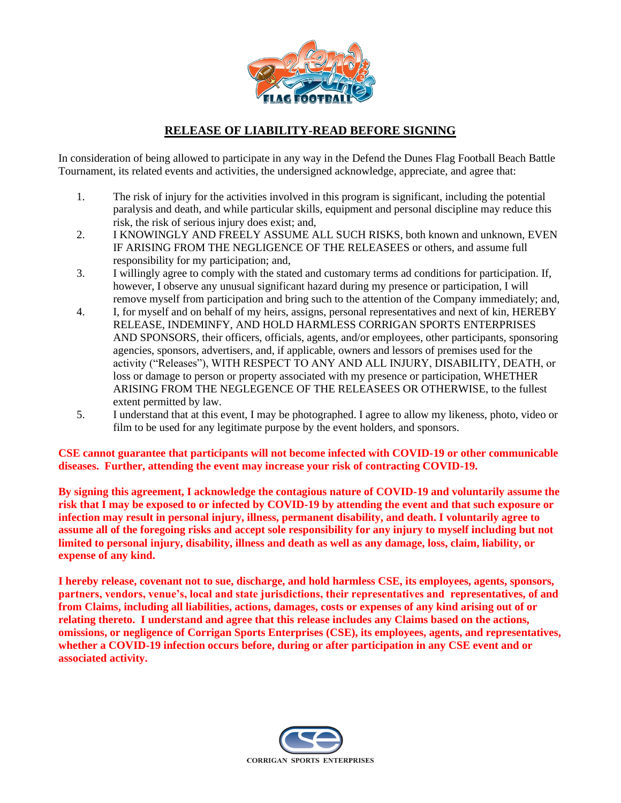

## **RELEASE OF LIABILITY-READ BEFORE SIGNING**

In consideration of being allowed to participate in any way in the Defend the Dunes Flag Football Beach Battle Tournament, its related events and activities, the undersigned acknowledge, appreciate, and agree that:

- 1. The risk of injury for the activities involved in this program is significant, including the potential paralysis and death, and while particular skills, equipment and personal discipline may reduce this risk, the risk of serious injury does exist; and,
- 2. I KNOWINGLY AND FREELY ASSUME ALL SUCH RISKS, both known and unknown, EVEN IF ARISING FROM THE NEGLIGENCE OF THE RELEASEES or others, and assume full responsibility for my participation; and,
- 3. I willingly agree to comply with the stated and customary terms ad conditions for participation. If, however, I observe any unusual significant hazard during my presence or participation, I will remove myself from participation and bring such to the attention of the Company immediately; and,
- 4. I, for myself and on behalf of my heirs, assigns, personal representatives and next of kin, HEREBY RELEASE, INDEMINFY, AND HOLD HARMLESS CORRIGAN SPORTS ENTERPRISES AND SPONSORS, their officers, officials, agents, and/or employees, other participants, sponsoring agencies, sponsors, advertisers, and, if applicable, owners and lessors of premises used for the activity ("Releases"), WITH RESPECT TO ANY AND ALL INJURY, DISABILITY, DEATH, or loss or damage to person or property associated with my presence or participation, WHETHER ARISING FROM THE NEGLEGENCE OF THE RELEASEES OR OTHERWISE, to the fullest extent permitted by law.
- 5. I understand that at this event, I may be photographed. I agree to allow my likeness, photo, video or film to be used for any legitimate purpose by the event holders, and sponsors.

**CSE cannot guarantee that participants will not become infected with COVID-19 or other communicable diseases. Further, attending the event may increase your risk of contracting COVID-19.** 

**By signing this agreement, I acknowledge the contagious nature of COVID-19 and voluntarily assume the risk that I may be exposed to or infected by COVID-19 by attending the event and that such exposure or infection may result in personal injury, illness, permanent disability, and death. I voluntarily agree to assume all of the foregoing risks and accept sole responsibility for any injury to myself including but not limited to personal injury, disability, illness and death as well as any damage, loss, claim, liability, or expense of any kind.** 

**I hereby release, covenant not to sue, discharge, and hold harmless CSE, its employees, agents, sponsors, partners, vendors, venue's, local and state jurisdictions, their representatives and representatives, of and from Claims, including all liabilities, actions, damages, costs or expenses of any kind arising out of or relating thereto. I understand and agree that this release includes any Claims based on the actions, omissions, or negligence of Corrigan Sports Enterprises (CSE), its employees, agents, and representatives, whether a COVID-19 infection occurs before, during or after participation in any CSE event and or associated activity.**